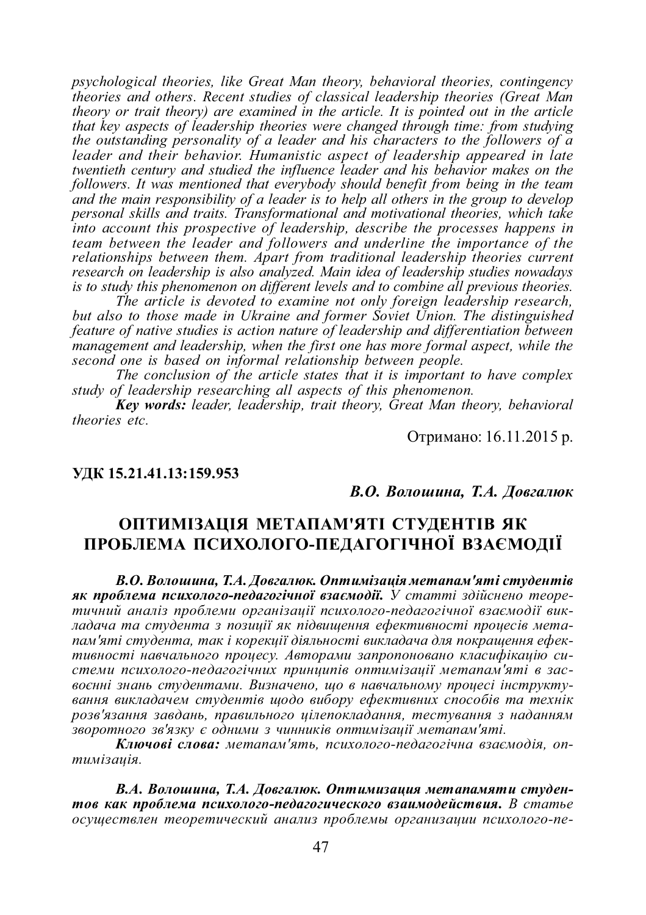*psychological theories, like Great Man theory, behavioral theories, contingency theories and others. Recent studies of classical leadership theories (Great Man theory or trait theory) are examined in the article. It is pointed out in the article that key aspects of leadership theories were changed through time: from studying the outstanding personality of a leader and his characters to the followers of a leader and their behavior. Humanistic aspect of leadership appeared in late twentieth century and studied the influence leader and his behavior makes on the followers. It was mentioned that everybody should benefit from being in the team and the main responsibility of a leader is to help all others in the group to develop personal skills and traits. Transformational and motivational theories, which take into account this prospective of leadership, describe the processes happens in team between the leader and followers and underline the importance of the relationships between them. Apart from traditional leadership theories current research on leadership is also analyzed. Main idea of leadership studies nowadays is to study this phenomenon on different levels and to combine all previous theories.*

*The article is devoted to examine not only foreign leadership research, but also to those made in Ukraine and former Soviet Union. The distinguished feature of native studies is action nature of leadership and differentiation between management and leadership, when the first one has more formal aspect, while the second one is based on informal relationship between people.*

*The conclusion of the article states that it is important to have complex study of leadership researching all aspects of this phenomenon.*

*Key words: leader, leadership, trait theory, Great Man theory, behavioral theories etc.*

Отримано: 16.11.2015 р.

#### **ɍȾɄ 15.21.41.13:159.953**

 $B.O. B$ *олошина*, *Т.А. Довгалюк* 

## ОПТИМІЗАЦІЯ МЕТАПАМ'ЯТІ СТУДЕНТІВ ЯК ПРОБЛЕМА ПСИХОЛОГО-ПЕДАГОГІЧНОЇ ВЗАЄМОЛІЇ

В.О. Волошина, Т.А. Довгалюк. Оптимізація метапам'яті студентів **як проблема психолого-педагогічної взаємодії.** У статті здійснено теоретичний аналіз проблеми організації психолого-педагогічної взаємодії викладача та студента з позииії як підвишення ефективності проиесів метапам'яті студента, так і корекції діяльності викладача для покращення ефективності навчального проиесу. Авторами запропоновано класифікацію сиcтеми психолого-педагогічних принципів оптимізації метапам'яті в засвоєнні знань студентами. Визначено, що в навчальному процесі інструктування викладачем студентів щодо вибору ефективних способів та технік розв'язання завдань, правильного цілепокладання, тестування з наданням зворотного зв'язку є одними з чинників оптимізації метапам'яті.

Ключові слова: метапам'ять, психолого-педагогічна взаємодія, оп $mu^3$ *auiя.* 

В.А. Волошина, Т.А. Довгалюк. Оптимизация метапамяти студен**тов как проблема психолого-педагогического взаимодействия.** В статье  $o$ существлен теоретический анализ проблемы организации психолого-пе-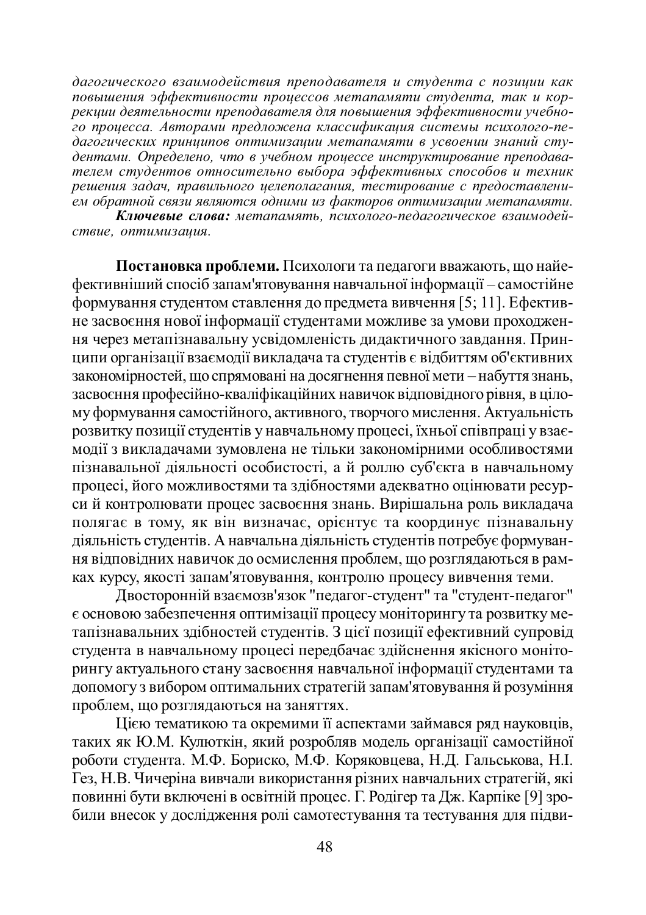дагогического взаимодействия преподавателя и студента с позиции как повышения эффективности процессов метапамяти студента, так и коррекции деятельности преподавателя для повышения эффективности учебно-<u>zo проиесса. Авторами предложена классификация системы психолого-пе-</u> дагогических принципов оптимизации метапамяти в усвоении знаний студентами. Определено, что в учебном проиессе инструктирование преподавателем студентов относительно выбора эффективных способов и техник решения задач, правильного целеполагания, тестирование с предоставлени- $\cdot$ ем обратной связи являются одними из факторов оптимизации метапамяти.

**Ключевые слова:** метапамять, психолого-педагогическое взаимодей $cme, onm$ имизация.

Постановка проблеми. Психологи та педагоги вважають, що найефективніший спосіб запам'ятовування навчальної інформації – самостійне  $\dot{i}$ формування студентом ставлення до предмета вивчення [5; 11]. Ефективне засвоєння нової інформації студентами можливе за умови проходження через метапізнавальну усвідомленість дидактичного завдання. Принципи організації взаємодії викладача та студентів є відбиттям об'єктивних закономірностей, що спрямовані на досягнення певної мети – набуття знань, засвоєння професійно-кваліфікаційних навичок відповідного рівня, в цілому формування самостійного, активного, творчого мислення. Актуальність ɪɨɡɜɢɬɤɭɩɨɡɢɰɿʀɫɬɭɞɟɧɬɿɜɭɧɚɜɱɚɥɶɧɨɦɭɩɪɨɰɟɫɿ, ʀɯɧɶɨʀɫɩɿɜɩɪɚɰɿɭɜɡɚɽтиодії з викладачами зумовлена не тільки закономірними особливостями пізнавальної діяльності особистості, а й роллю суб'єкта в навчальному процесі, його можливостями та здібностями адекватно оцінювати ресурсий контролювати процес засвоєння знань. Вирішальна роль викладача полягає в тому, як він визначає, орієнтує та координує пізнавальну діяльність студентів. А навчальна діяльність студентів потребує формування відповідних навичок до осмислення проблем, що розглядаються в рамках курсу, якості запам'ятовування, контролю процесу вивчення теми.

Двосторонній взаємозв'язок "педагог-студент" та "студент-педагог"  $\epsilon$  основою забезпечення оптимізації процесу моніторингу та розвитку метапізнавальних здібностей студентів. З цієї позиції ефективний супровід студента в навчальному процесі передбачає здійснення якісного моніторингу актуального стану засвоєння навчальної інформації студентами та допомогу з вибором оптимальних стратегій запам'ятовування й розуміння проблем, що розглядаються на заняттях.

Цією тематикою та окремими її аспектами займався ряд науковців, таких як Ю.М. Кулюткін, який розробляв модель організації самостійної роботи студента. М.Ф. Бориско, М.Ф. Коряковцева, Н.Д. Гальськова, Н.І. Гез, Н.В. Чичеріна вивчали використання різних навчальних стратегій, які повинні бути включені в освітній процес. Г. Родігер та Дж. Карпіке [9] зробили внесок у дослідження ролі самотестування та тестування для підви-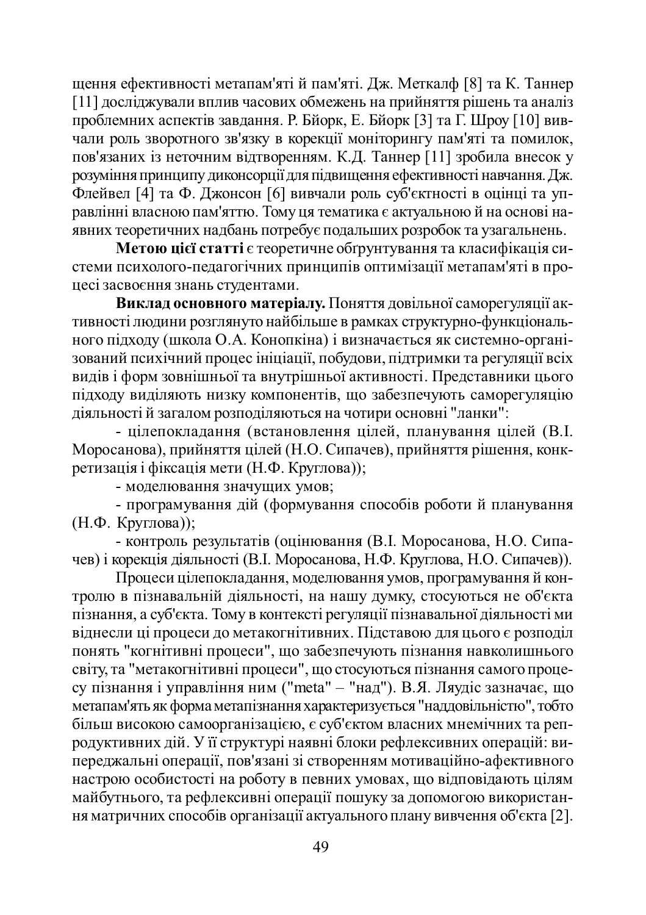щення ефективності метапам'яті й пам'яті. Дж. Меткалф [8] та К. Таннер  $[11]$  досліджували вплив часових обмежень на прийняття рішень та аналіз проблемних аспектів завдання. Р. Бйорк, Е. Бйорк [3] та Г. Шроу [10] вивчали роль зворотного зв'язку в корекції моніторингу пам'яті та помилок, пов'язаних із неточним відтворенням. К.Д. Таннер [11] зробила внесок у розуміння принципу диконсорції для підвищення ефективності навчання. Дж. Флейвел [4] та Ф. Джонсон [6] вивчали роль суб'єктності в оцінці та управлінні власною пам'яттю. Тому ця тематика є актуальною й на основі на-.<br>явних теоретичних надбань потребує подальших розробок та узагальнень.

**Метою цієї статті** є теоретичне обтрунтування та класифікація системи психолого-педагогічних принципів оптимізації метапам'яті в процесі засвоєння знань студентами.

**Виклал основного матеріалу.** Поняття довільної саморегуляції активності людини розглянуто найбільше в рамках структурно-функціонального підходу (школа О.А. Конопкіна) і визначається як системно-організований психічний процес ініціації, побудови, підтримки та регуляції всіх видів і форм зовнішньої та внутрішньої активності. Представники цього підходу виділяють низку компонентів, що забезпечують саморегуляцію діяльності й загалом розподіляються на чотири основні "ланки":

- цілепокладання (встановлення цілей, планування цілей (В.І. Моросанова), прийняття цілей (Н.О. Сипачев), прийняття рішення, конкperusanis i discanis meru (H. Ф. Круглова));

- моделювання значущих умов;

- програмування дій (формування способів роботи й планування  $(H.\Phi.$  Kpyr $\pi$ oba));

- контроль результатів (оцінювання (В.І. Моросанова, Н.О. Сипачев) і корекція діяльності (В.І. Моросанова, Н.Ф. Круглова, Н.О. Сипачев)).

Процеси цілепокладання, моделювання умов, програмування й контролю в пізнавальній діяльності, на нашу думку, стосуються не об'єкта пізнання, а суб'єкта. Тому в контексті регуляції пізнавальної діяльності ми віднесли ці процеси до метакогнітивних. Підставою для цього є розподіл понять "когнітивні процеси", що забезпечують пізнання навколишнього світу, та "метакогнітивні процеси", що стосуються пізнання самого процесу пізнання і управління ним ("meta" – "над"). В.Я. Ляудіс зазначає, що метапам'ять як форма метапізнання характеризується "наддовільністю", тобто більш високою самоорганізацією, є суб'єктом власних мнемічних та репродуктивних дій. У її структурі наявні блоки рефлексивних операцій: випереджальні операції, пов'язані зі створенням мотиваційно-афективного настрою особистості на роботу в певних умовах, що відповідають цілям майбутнього, та рефлексивні операції пошуку за допомогою використання матричних способів організації актуального плану вивчення об'єкта [2].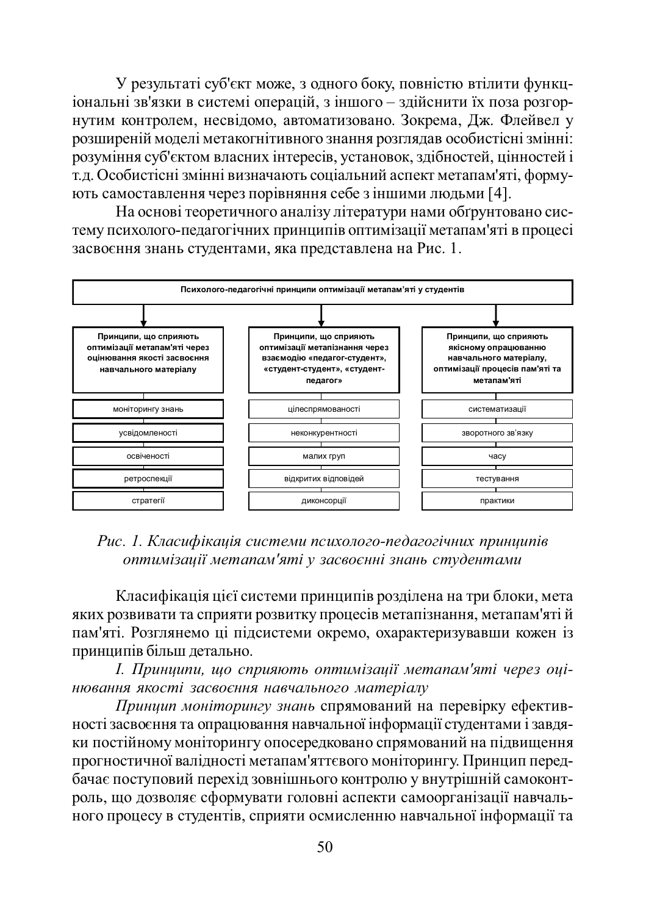У результаті суб'єкт може, з одного боку, повністю втілити функціональні зв'язки в системі операцій, з іншого – здійснити їх поза розгорнутим контролем, несвідомо, автоматизовано. Зокрема, Дж. Флейвел у розширеній моделі метакогнітивного знання розглядав особистісні змінні: розуміння суб'єктом власних інтересів, установок, здібностей, цінностей і т.д. Особистісні змінні визначають соціальний аспект метапам'яті, формують самоставлення через порівняння себе з іншими людьми [4].

На основі теоретичного аналізу літератури нами обґрунтовано систему психолого-педагогічних принципів оптимізації метапам'яті в процесі засвоєння знань студентами, яка представлена на Рис. 1.



Рис. 1. Класифікація системи психолого-педагогічних принципів  $\emph{onmunisayii memanam'smi}$  у засвоєнні знань студентами

Класифікація цієї системи принципів розділена на три блоки, мета яких розвивати та сприяти розвитку процесів метапізнання, метапам'яті й пам'яті. Розглянемо ці підсистеми окремо, охарактеризувавши кожен із принципів більш детально.

 $I$ . Принципи, що сприяють оптимізації метапам'яті через оцінювання якості засвоєння навчального матеріалу

Принцип моніторингу знань спрямований на перевірку ефективності засвоєння та опрацювання навчальної інформації студентами і завдяки постійному моніторингу опосередковано спрямований на підвищення прогностичної валідності метапам'яттєвого моніторингу. Принцип передбачає поступовий перехід зовнішнього контролю у внутрішній самоконтроль, що дозволяє сформувати головні аспекти самоорганізації навчального процесу в студентів, сприяти осмисленню навчальної інформації та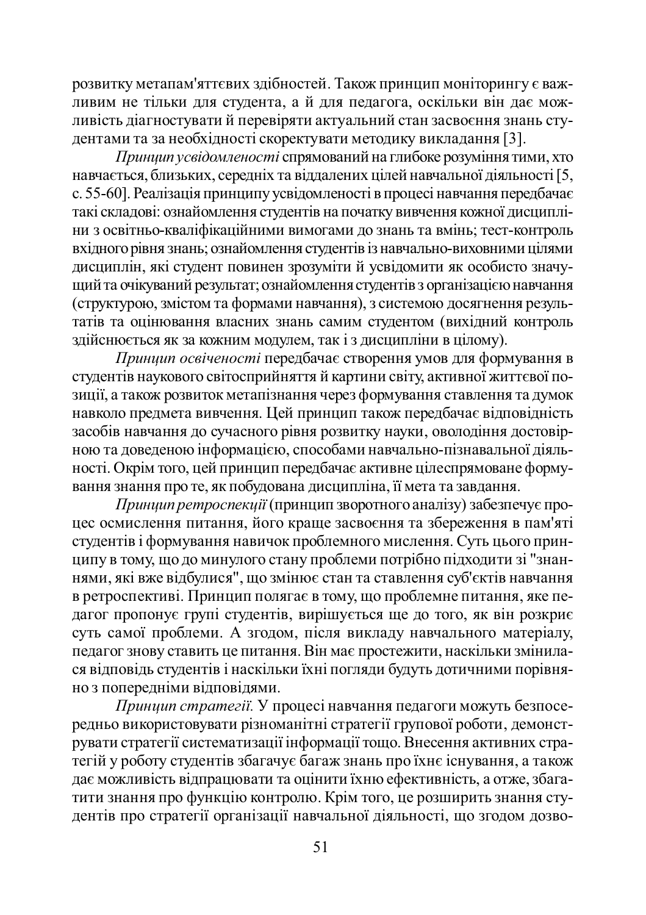розвитку метапам'яттєвих здібностей. Також принцип моніторингу є важтивим не тільки для студента, а й для педагога, оскільки він дає можливість діагностувати й перевіряти актуальний стан засвоєння знань студентами та за необхідності скоректувати методику викладання [3].

Принцип усвідомленості спрямований на глибоке розуміння тими, хто навчається, близьких, середніх та віддалених цілей навчальної діяльності [5, c. 55-60]. Реалізація принципу усвідомленості в процесі навчання передбачає такі складові: ознайомлення студентів на початку вивчення кожної дисципліни з освітньо-кваліфікаційними вимогами до знань та вмінь; тест-контроль вхідного рівня знань; ознайомлення студентів із навчально-виховними цілями дисциплін, які студент повинен зрозуміти й усвідомити як особисто значущий та очікуваний результат; ознайомлення студентів з організацією навчання (структурою, змістом та формами навчання), з системою досягнення резуль-Татів та оцінювання власних знань самим студентом (вихідний контроль здійснюється як за кожним модулем, так і з дисципліни в цілому).

Принии освіченості передбачає створення умов для формування в студентів наукового світосприйняття й картини світу, активної життєвої позиції, а також розвиток метапізнання через формування ставлення та думок навколо предмета вивчення. Цей принцип також передбачає відповідність засобів навчання до сучасного рівня розвитку науки, оволодіння достовірною та доведеною інформацією, способами навчально-пізнавальної діяльності. Окрім того, цей принцип передбачає активне цілеспрямоване формування знання про те, як побудована дисципліна, її мета та завдання.

*Принии ретроспекий* (принцип зворотного аналізу) забезпечує процес осмислення питання, його краще засвоєння та збереження в пам'яті студентів і формування навичок проблемного мислення. Суть цього принципу в тому, що до минулого стану проблеми потрібно підходити зі "знаннями, які вже відбулися", що змінює стан та ставлення суб'єктів навчання в ретроспективі. Принцип полягає в тому, що проблемне питання, яке пе-THE TROID TO THE TROID TO THE TROID THE TROID TO THE TROID TO THE TROID THE TROID TO THE TROID THE TROID TO THE суть самої проблеми. А згодом, після викладу навчального матеріалу, с<br>педагог знову ставить це питання. Він має простежити, наскільки змінилася відповідь студентів і наскільки їхні погляди будуть дотичними порівняно з попередніми відповідями.

*Принцип стратегії*. У процесі навчання педагоги можуть безпосередньо використовувати різноманітні стратегії групової роботи, демонструвати стратегії систематизації інформації тощо. Внесення активних стратегій у роботу студентів збагачує багаж знань про їхнє існування, а також дає можливість відпрацювати та оцінити їхню ефективність, а отже, збагатити знання про функцію контролю. Крім того, це розширить знання студентів про стратегії організації навчальної діяльності, що згодом дозво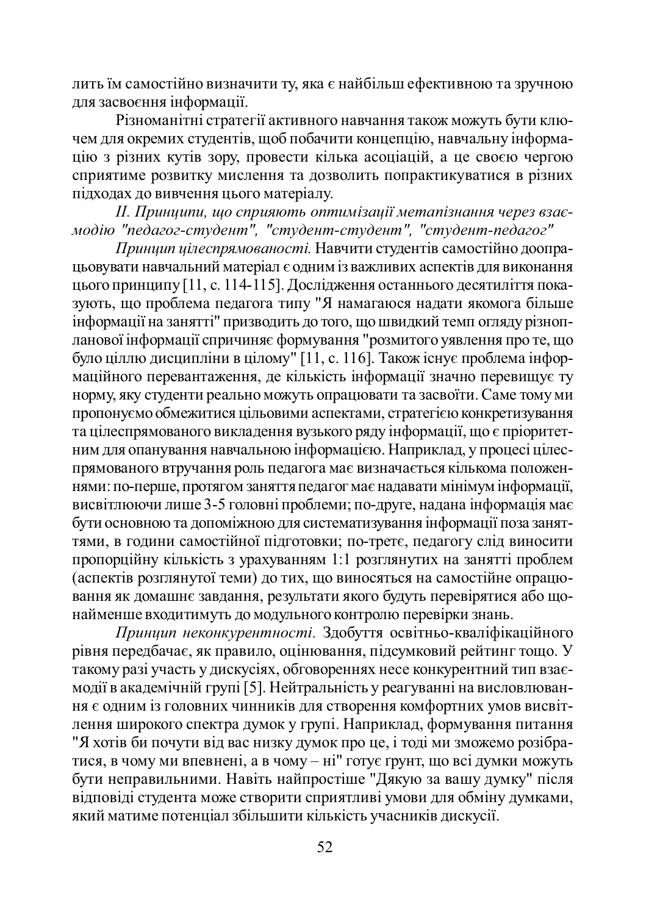лить їм самостійно визначити ту, яка є найбільш ефективною та зручною для засвоєння інформації.

Різноманітні стратегії активного навчання також можуть бути ключем для окремих студентів, щоб побачити концепцію, навчальну інформацію з різних кутів зору, провести кілька асоціацій, а це своєю чергою сприятиме розвитку мислення та дозволить попрактикуватися в різних підходах до вивчення цього матеріалу.

 $II$ . Принципи, що сприяють оптимізації метапізнання через взаємодію "педагог-студент", "студент-студент", "студент-педагог"

**Принии иілеспрямованості. Навчити студентів самостійно доопра**цьовувати навчальний матеріал є одним із важливих аспектів для виконання цього принципу [11, с. 114-115]. Дослідження останнього десятиліття показують, що проблема педагога типу "Я намагаюся надати якомога більше інформації на занятті" призводить до того, що швидкий темп огляду різнопланової інформації спричиняє формування "розмитого уявлення про те, що було ціллю дисципліни в цілому" [11, с. 116]. Також існує проблема інфоры чащійного перевантаження, де кількість інформації значно перевищує ту норму, яку студенти реально можуть опрацювати та засвоїти. Саме тому ми пропонуємо обмежитися цільовими аспектами, стратегією конкретизування та цілеспрямованого викладення вузького ряду інформації, що є пріоритетним для опанування навчальною інформацією. Наприклад, у процесі цілеспрямованого втручання роль педагога має визначається кількома положенгиями: по-перше, протягом заняття педагог має надавати мінімум інформації, висвітлюючи лише 3-5 головні проблеми; по-друге, надана інформація має бути основною та допоміжною для систематизування інформації поза заняттями, в години самостійної підготовки; по-третє, педагогу слід виносити пропорційну кількість з урахуванням 1:1 розглянутих на занятті проблем (аспектів розглянутої теми) до тих, що виносяться на самостійне опрацюь ання як домашнє завдання, результати якого будуть перевірятися або щонайменше входитимуть до модульного контролю перевірки знань.

Принцип неконкурентності. Здобуття освітньо-кваліфікаційного рівня передбачає, як правило, оцінювання, підсумковий рейтинг тощо. У такому разі участь у дискусіях, обговореннях несе конкурентний тип взаємодії в академічній групі [5]. Нейтральність у реагуванні на висловлювання є одним із головних чинників для створення комфортних умов висвітлення широкого спектра думок у групі. Наприклад, формування питання "Я хотів би почути від вас низку думок про це, і тоді ми зможемо розібратися, в чому ми впевнені, а в чому – ні" готує ґрунт, що всі думки можуть бути неправильними. Навіть найпростіше "Дякую за вашу думку" після відповіді студента може створити сприятливі умови для обміну думками, який матиме потенціал збільшити кількість учасників дискусії.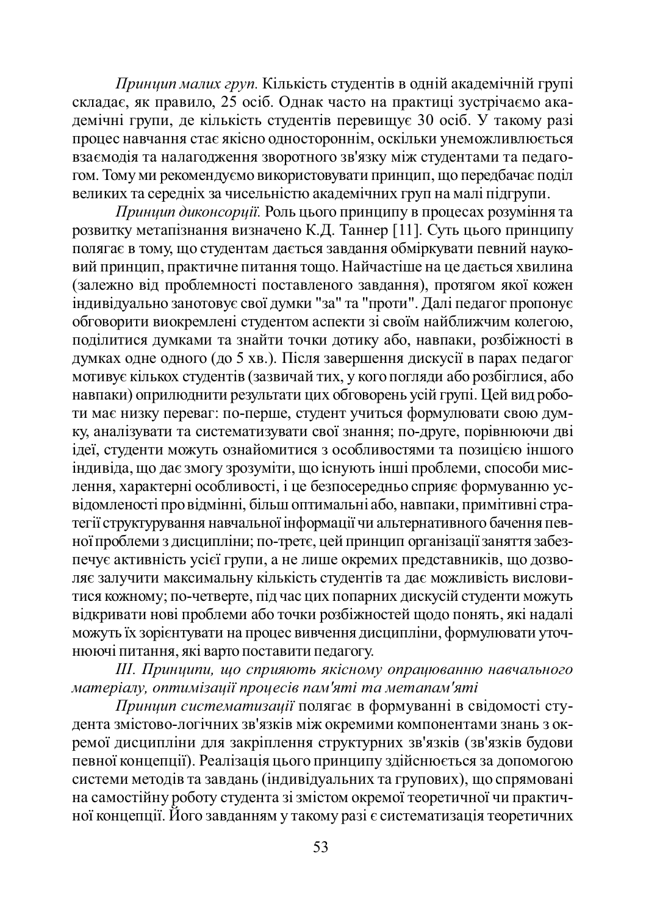*Приниип малих груп*. Кількість студентів в одній академічній групі складає, як правило, 25 осіб. Однак часто на практиці зустрічаємо академічні групи, де кількість студентів перевищує 30 осіб. У такому разі процес навчання стає якісно одностороннім, оскільки унеможливлюється взаємодія та налагодження зворотного зв'язку між студентами та педагогом. Тому ми рекомендуємо використовувати принцип, що передбачає поділ великих та середніх за чисельністю академічних груп на малі підгрупи.

*Принии диконсорий*. Роль шього принципу в процесах розуміння та розвитку метапізнання визначено К.Д. Таннер [11]. Суть цього принципу толягає в тому, що студентам дається завдання обміркувати певний науковий принцип, практичне питання тощо. Найчастіше на це дається хвилина (залежно від проблемності поставленого завдання), протягом якої кожен індивідуально занотовує свої думки "за" та "проти". Далі педагог пропонує обговорити виокремлені студентом аспекти зі своїм найближчим колегою, поділитися думками та знайти точки дотику або, навпаки, розбіжності в думках одне одного (до 5 хв.). Після завершення дискусії в парах педагог **и и тивує кількох студентів (зазвичайтих, у кого погляди або розбіглися, або** навпаки) оприлюднити результати цих обговорень усій групі. Цей вид роботи має низку переваг: по-перше, студент учиться формулювати свою думку, аналізувати та систематизувати свої знання; по-друге, порівнюючи дві ідеї, студенти можуть ознайомитися з особливостями та позицією іншого індивіда, що дає змогу зрозуміти, що існують інші проблеми, способи мислення, характерні особливості, і це безпосередньо сприяє формуванню усвідомленості про відмінні, більш оптимальні або, навпаки, примітивні стратегії структурування навчальної інформації чи альтернативного бачення певної проблеми з дисципліни; по-третє, цей принцип організації заняття забезпечує активність усієї групи, а не лише окремих представників, що дозволяє залучити максимальну кількість студентів та дає можливість висловитися кожному; по-четверте, під час цих попарних дискусій студенти можуть відкривати нові проблеми або точки розбіжностей щодо понять, які надалі можуть їх зорієнтувати на процес вивчення дисципліни, формулювати уточ-HOO HI ПИТАННЯ, ЯКІ ВАРТО ПОСТАВИТИ ПЕДАГОГУ.

# *ȱȱȱ. ɉɪɢɧɰɢɩɢ, ɳɨɫɩɪɢɹɸɬɶɹɤɿɫɧɨɦɭɨɩɪɚɰɸɜɚɧɧɸɧɚɜɱɚɥɶɧɨɝɨ* <mark>матеріалу, оптимізації процесів пам'яті та метапам'яті</mark>

 $\overline{I}$ ринцип систематизації полягає в формуванні в свідомості студента змістово-логічних зв'язків між окремими компонентами знань з окремої дисципліни для закріплення структурних зв'язків (зв'язків будови певної концепції). Реалізація цього принципу здійснюється за допомогою системи методів та завдань (індивідуальних та групових), що спрямовані на самостійну роботу студента зі змістом окремої теоретичної чи практичної концепції. Його завданням у такому разі є систематизація теоретичних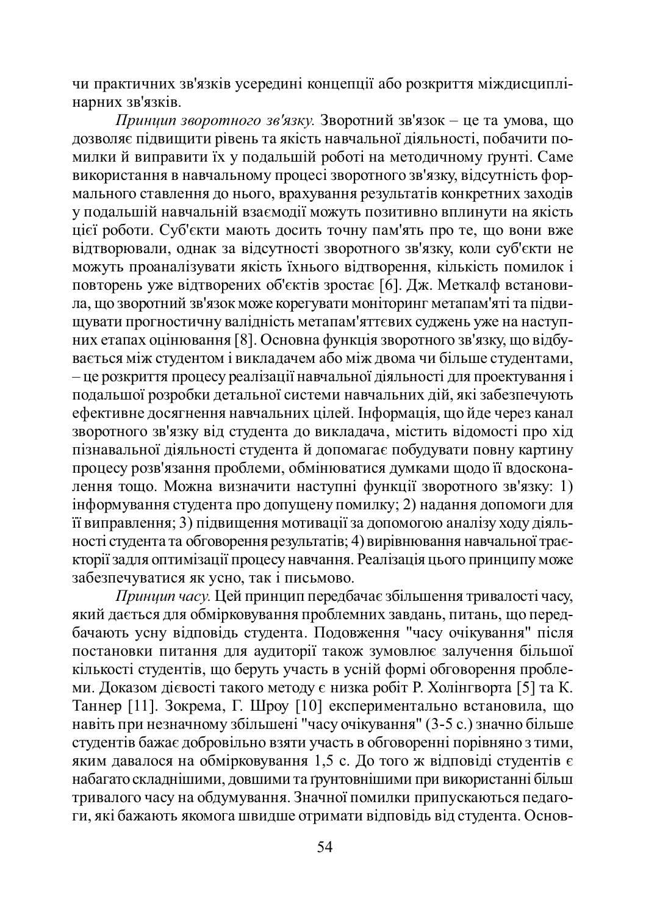чи практичних зв'язків усередині концепції або розкриття міждисциплінарних зв'язків.

*Принцип зворотного зв'язку*. Зворотний зв'язок – це та умова, що дозволяє підвищити рівень та якість навчальної діяльності, побачити помилки й виправити їх у подальшій роботі на методичному ґрунті. Саме використання в навчальному процесі зворотного зв'язку, відсутність формального ставлення до нього, врахування результатів конкретних заходів у подальшій навчальній взаємодії можуть позитивно вплинути на якість цієї роботи. Суб'єкти мають досить точну пам'ять про те, що вони вже відтворювали, однак за відсутності зворотного зв'язку, коли суб'єкти не можуть проаналізувати якість їхнього відтворення, кількість помилок і повторень уже відтворених об'єктів зростає [6]. Дж. Меткалф встановила, що зворотний зв'язок може корегувати моніторинг метапам'яті та підвищувати прогностичну валідність метапам'яттєвих суджень уже на наступних етапах оцінювання [8]. Основна функція зворотного зв'язку, що відбувається між студентом і викладачем або між двома чи більше студентами, – це розкриття процесу реалізації навчальної діяльності для проектування і подальшої розробки детальної системи навчальних дій, які забезпечують ефективне досягнення навчальних цілей. Інформація, що йде через канал зворотного зв'язку від студента до викладача, містить відомості про хід пізнавальної діяльності студента й допомагає побудувати повну картину процесу розв'язання проблеми, обмінюватися думками щодо її вдосконалення тощо. Можна визначити наступні функції зворотного зв'язку: 1) інформування студента про допущену помилку; 2) надання допомоги для п виправлення; 3) підвищення мотивації за допомогою аналізу ходу діяльності студента та обговорення результатів; 4) вирівнювання навчальної траєкторії задля оптимізації процесу навчання. Реалізація цього принципу може забезпечуватися як усно, так і письмово.

*Принцип часу*. Цей принцип передбачає збільшення тривалості часу, який дається для обмірковування проблемних завдань, питань, що передбачають усну відповідь студента. Подовження "часу очікування" після постановки питання для аудиторії також зумовлює залучення більшої кількості студентів, що беруть участь в усній формі обговорення проблеми. Доказом дієвості такого методу є низка робіт Р. Холінгворта [5] та К. Таннер [11]. Зокрема, Г. Шроу [10] експериментально встановила, що навіть при незначному збільшені "часу очікування" (3-5 с.) значно більше студентів бажає добровільно взяти участь в обговоренні порівняно з тими, яким давалося на обмірковування 1,5 с. До того ж відповіді студентів є набагато складнішими, довшими та грунтовнішими при використанні більш тривалого часу на обдумування. Значної помилки припускаються педагоги, які бажають якомога швидше отримати відповідь від студента. Основ-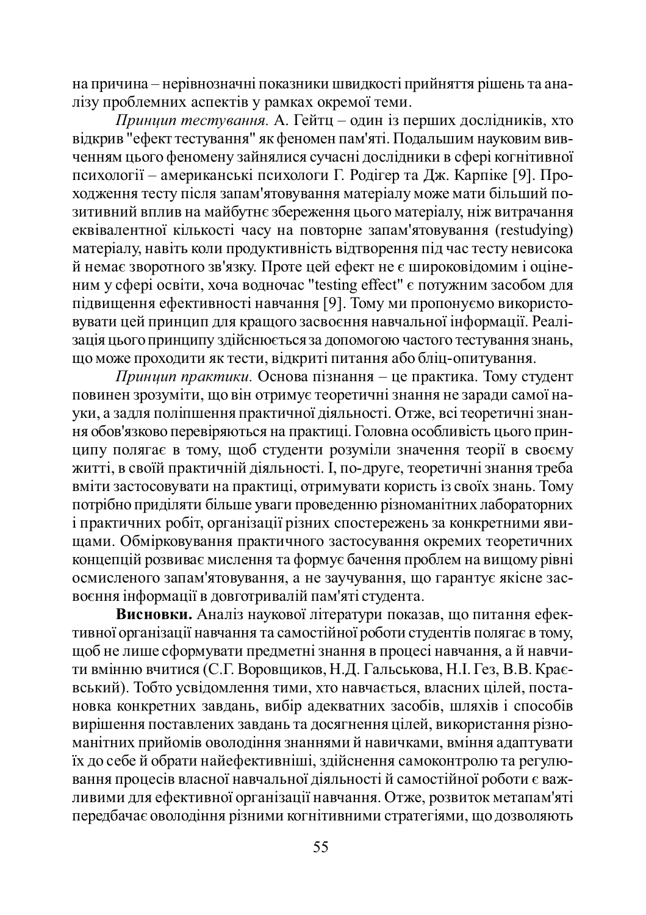на причина – нерівнозначні показники швидкості прийняття рішень та аналізу проблемних аспектів у рамках окремої теми.

м<br>*Принцип тестування*. А. Гейтц – один із перших дослідників, хто відкрив "ефект тестування" як феномен пам'яті. Подальшим науковим вивченням цього феномену зайнялися сучасні дослідники в сфері когнітивної психології – американські психологи Г. Родігер та Дж. Карпіке [9]. Проходження тесту після запам'ятовування матеріалу може мати більший позитивний вплив на майбутне збереження цього матеріалу, ніж витрачання еквівалентної кількості часу на повторне запам'ятовування (restudying) матеріалу, навіть коли продуктивність відтворення під час тесту невисока й немає зворотного зв'язку. Проте цей ефект не є широковідомим і оціненим у сфері освіти, хоча водночас "testing effect" є потужним засобом для підвищення ефективності навчання [9]. Тому ми пропонуємо використовувати цей принцип для кращого засвоєння навчальної інформації. Реаліузація цього принципу здійснюється за допомогою частого тестування знань, що може проходити як тести, відкриті питання або бліц-опитування.

*Принцип практики*. Основа пізнання – це практика. Тому студент повинен зрозуміти, що він отримує теоретичні знання не заради самої науки, а задля поліпшення практичної діяльності. Отже, всі теоретичні знання обов'язково перевіряються на практиці. Головна особливість цього принципу полягає в тому, щоб студенти розуміли значення теорії в своєму житті, в своїй практичній діяльності. І, по-друге, теоретичні знання треба вміти застосовувати на практиці, отримувати користь із своїх знань. Тому потрібно приділяти більше уваги проведенню різноманітних лабораторних і практичних робіт, організації різних спостережень за конкретними явинами. Обмірковування практичного застосування окремих теоретичних концепцій розвиває мислення та формує бачення проблем на вищому рівні осмисленого запам'ятовування, а не заучування, що гарантує якісне засвоєння інформації в довготривалій пам'яті студента.

Висновки. Аналіз наукової літератури показав, що питання ефективної організації навчання та самостійної роботи студентів полягає в тому, щоб не лише сформувати предметні знання в процесі навчання, а й навчити вмінню вчитися (С.Г. Воровщиков, Н.Д. Гальськова, Н.І. Гез, В.В. Краєвський). Тобто усвідомлення тими, хто навчається, власних цілей, постановка конкретних завдань, вибір адекватних засобів, шляхів і способів вирішення поставлених завдань та досягнення цілей, використання різноманітних прийомів оволодіння знаннями й навичками, вміння адаптувати їх до себе й обрати найефективніші, здійснення самоконтролю та регулювання процесів власної навчальної діяльності й самостійної роботи є важливими для ефективної організації навчання. Отже, розвиток метапам'яті передбачає оволодіння різними когнітивними стратегіями, що дозволяють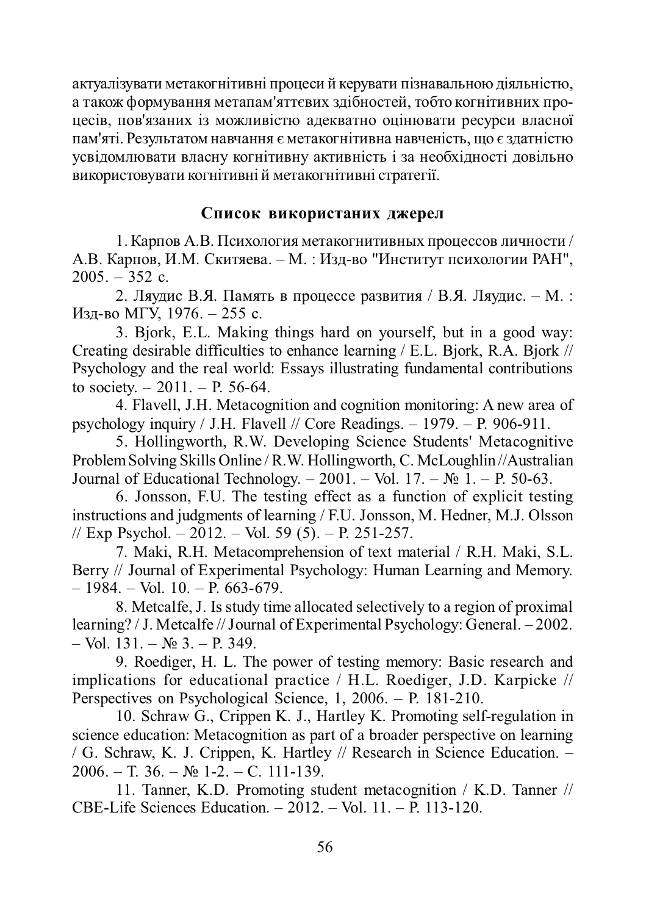актуалізувати метакогнітивні процеси й керувати пізнавальною діяльністю, а також формування метапам'яттєвих здібностей, тобто когнітивних процесів, пов'язаних із можливістю адекватно оцінювати ресурси власної пам'яті. Результатом навчання є метакогнітивна навченість, що є здатністю усвідомлювати власну когнітивну активність і за необхідності довільно •<br>використовувати когнітивні й метакогнітивні стратегії.

### Список використаних джерел

1. Карпов А.В. Психология метакогнитивных процессов личности / А.В. Карпов, И.М. Скитяева. – М. : Изд-во "Институт психологии РАН",  $2005. - 352$  c.

2. Ляудис В.Я. Память в процессе развития / В.Я. Ляудис. – М. : Изд-во МГУ, 1976. – 255 с.

3. Bjork, E.L. Making things hard on yourself, but in a good way: Creating desirable difficulties to enhance learning / E.L. Bjork, R.A. Bjork // Psychology and the real world: Essays illustrating fundamental contributions to society.  $-2011$ .  $-$  P. 56-64.

4. Flavell, J.H. Metacognition and cognition monitoring: A new area of psychology inquiry / J.H. Flavell // Core Readings.  $-$  1979.  $-$  P. 906-911.

5. Hollingworth, R.W. Developing Science Students' Metacognitive Problem Solving Skills Online / R.W. Hollingworth, C. McLoughlin //Australian Journal of Educational Technology. – 2001. – Vol. 17. –  $\mathbb{N}$  1. – P. 50-63.

6. Jonsson, F.U. The testing effect as a function of explicit testing instructions and judgments of learning / F.U. Jonsson, M. Hedner, M.J. Olsson // Exp Psychol. – 2012. – Vol. 59 (5). – P. 251-257.

7. Maki, R.H. Metacomprehension of text material / R.H. Maki, S.L. Berry // Journal of Experimental Psychology: Human Learning and Memory.  $-1984. - Vol.$  10.  $- P. 663-679.$ 

8. Metcalfe, J. Is study time allocated selectively to a region of proximal learning? / J. Metcalfe // Journal of Experimental Psychology: General. – 2002.  $-$  Vol. 131. –  $\mathbb{N}$  3. – P. 349.

9. Roediger, H. L. The power of testing memory: Basic research and implications for educational practice / H.L. Roediger, J.D. Karpicke // Perspectives on Psychological Science,  $1, 2006. - P.$  181-210.

10. Schraw G., Crippen K. J., Hartley K. Promoting self-regulation in science education: Metacognition as part of a broader perspective on learning / G. Schraw, K. J. Crippen, K. Hartley // Research in Science Education. – 2006. – T. 36. –  $\mathbb{N}_{2}$  1-2. – C. 111-139.

11. Tanner, K.D. Promoting student metacognition / K.D. Tanner // CBE-Life Sciences Education. – 2012. – Vol. 11. – P. 113-120.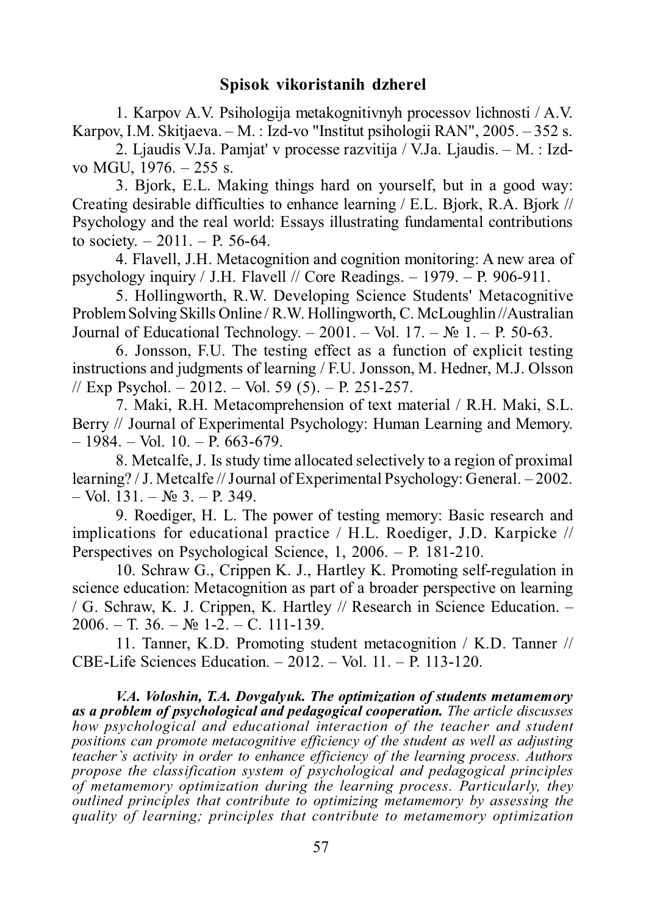## **Spisok vikoristanih dzherel**

1. Karpov A.V. Psihologija metakognitivnyh processov lichnosti / A.V. Karpov, I.M. Skitjaeva. – M. : Izd-vo "Institut psihologii RAN", 2005. – 352 s.

2. Ljaudis V.Ja. Pamjat' v processe razvitija / V.Ja. Ljaudis. – M. : Izdvo MGU, 1976. – 255 s.

3. Bjork, E.L. Making things hard on yourself, but in a good way: Creating desirable difficulties to enhance learning / E.L. Bjork, R.A. Bjork // Psychology and the real world: Essays illustrating fundamental contributions to society.  $-2011$ .  $-$  P. 56-64.

4. Flavell, J.H. Metacognition and cognition monitoring: A new area of psychology inquiry / J.H. Flavell // Core Readings.  $-$  1979.  $-$  P. 906-911.

5. Hollingworth, R.W. Developing Science Students' Metacognitive Problem Solving Skills Online / R.W. Hollingworth, ɋ. McLoughlin //Australian Journal of Educational Technology. – 2001. – Vol. 17. –  $\mathbb{N}^2$  1. – P. 50-63.

6. Jonsson, F.U. The testing effect as a function of explicit testing instructions and judgments of learning / F.U. Jonsson, M. Hedner, M.J. Olsson // Exp Psychol. – 2012. – Vol. 59 (5). – P. 251-257.

7. Maki, R.H. Metacomprehension of text material / R.H. Maki, S.L. Berry // Journal of Experimental Psychology: Human Learning and Memory.  $-1984. - Vol.$  10.  $- P. 663-679.$ 

8. Metcalfe, J. Is study time allocated selectively to a region of proximal learning? / J. Metcalfe // Journal of Experimental Psychology: General. – 2002.  $-$  Vol. 131. –  $\mathbb{N}$  3. – P. 349.

9. Roediger, H. L. The power of testing memory: Basic research and implications for educational practice / H.L. Roediger, J.D. Karpicke // Perspectives on Psychological Science,  $1, 2006. - P.$  181-210.

10. Schraw G., Crippen K. J., Hartley K. Promoting self-regulation in science education: Metacognition as part of a broader perspective on learning / G. Schraw, K. J. Crippen, K. Hartley // Research in Science Education. –  $2006. - T. 36. - N<sub>2</sub> 1-2. - C. 111-139.$ 

11. Tanner, K.D. Promoting student metacognition / K.D. Tanner // CBE-Life Sciences Education. – 2012. – Vol. 11. – P. 113-120.

*V.A. Voloshin, T.A. Dovgalyuk. The optimization of students metamemory as a problem of psychological and pedagogical cooperation. The article discusses how psychological and educational interaction of the teacher and student positions can promote metacognitive efficiency of the student as well as adjusting teacher`s activity in order to enhance efficiency of the learning process. Authors propose the classification system of psychological and pedagogical principles of metamemory optimization during the learning process. Particularly, they outlined principles that contribute to optimizing metamemory by assessing the quality of learning; principles that contribute to metamemory optimization*